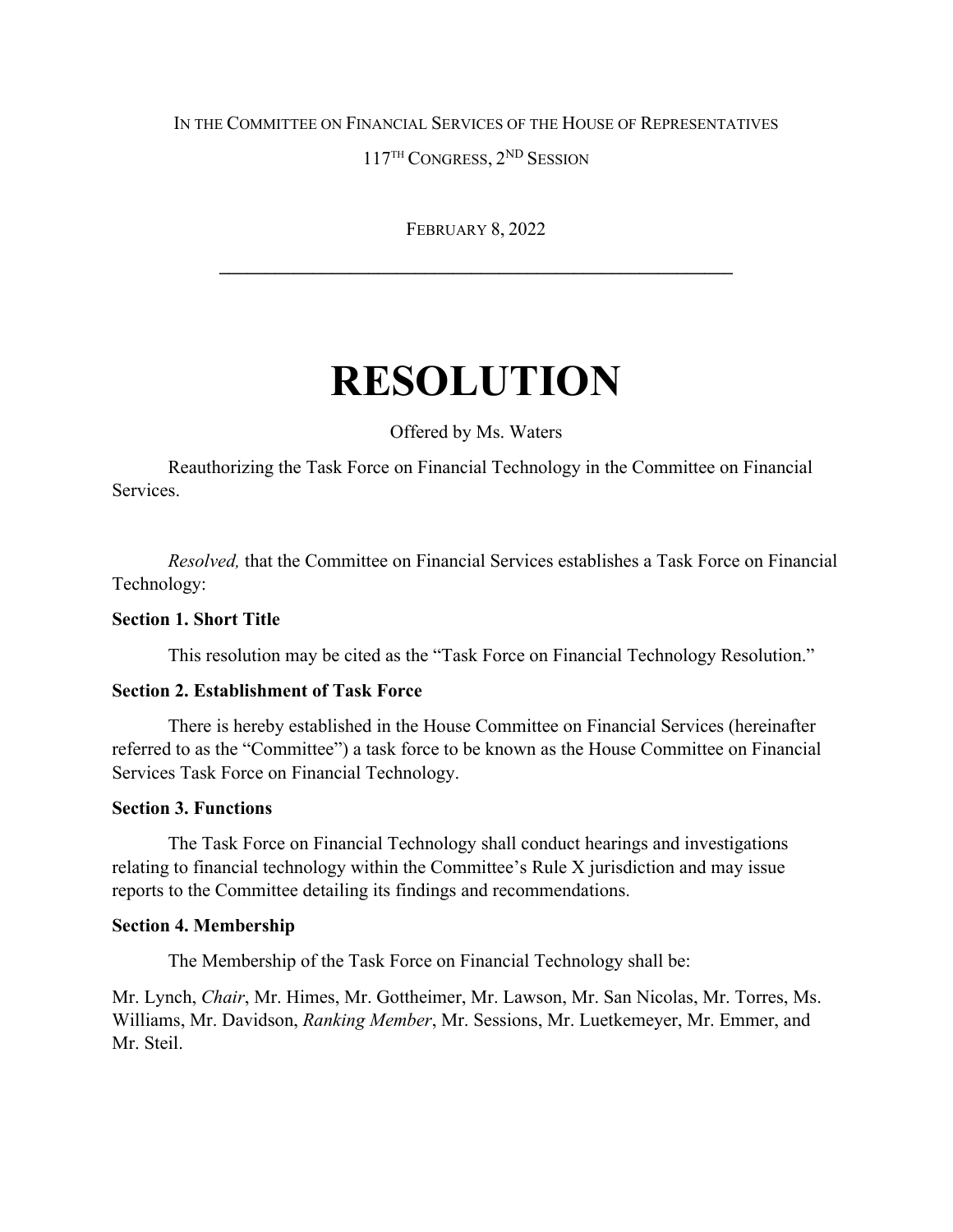# IN THE COMMITTEE ON FINANCIAL SERVICES OF THE HOUSE OF REPRESENTATIVES

117TH CONGRESS, 2ND SESSION

FEBRUARY 8, 2022

**\_\_\_\_\_\_\_\_\_\_\_\_\_\_\_\_\_\_\_\_\_\_\_\_\_\_\_\_\_\_\_\_\_\_\_\_\_\_\_\_\_\_\_\_\_\_\_\_\_\_\_\_\_\_\_**

# **RESOLUTION**

Offered by Ms. Waters

Reauthorizing the Task Force on Financial Technology in the Committee on Financial Services.

*Resolved,* that the Committee on Financial Services establishes a Task Force on Financial Technology:

# **Section 1. Short Title**

This resolution may be cited as the "Task Force on Financial Technology Resolution."

#### **Section 2. Establishment of Task Force**

There is hereby established in the House Committee on Financial Services (hereinafter referred to as the "Committee") a task force to be known as the House Committee on Financial Services Task Force on Financial Technology.

#### **Section 3. Functions**

The Task Force on Financial Technology shall conduct hearings and investigations relating to financial technology within the Committee's Rule X jurisdiction and may issue reports to the Committee detailing its findings and recommendations.

#### **Section 4. Membership**

The Membership of the Task Force on Financial Technology shall be:

Mr. Lynch, *Chair*, Mr. Himes, Mr. Gottheimer, Mr. Lawson, Mr. San Nicolas, Mr. Torres, Ms. Williams, Mr. Davidson, *Ranking Member*, Mr. Sessions, Mr. Luetkemeyer, Mr. Emmer, and Mr. Steil.